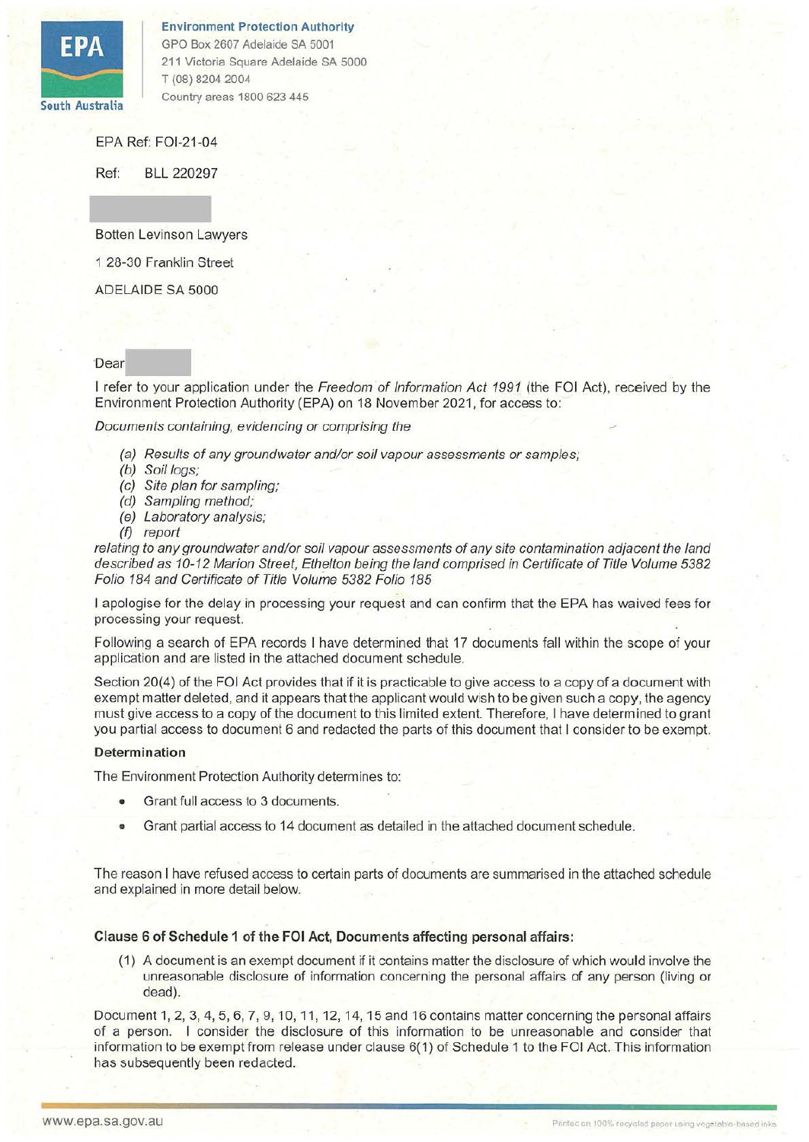

Environment Protection Authority GPO Box 2607 Adelaide SA 5001 211 Victoria Square Adelaide SA 5000 T (08) 8204 2004 Country areas 1800 623 445

EPA Ref: FOl-21-04

Ref: BLL 220297

Botten Levinson Lawyers

1 28-30 Franklin Street

ADELAIDE SA 5000

## 'Dear

I refer to your application under the Freedom of Information Act 1991 (the FOI Act), received by the Environment Protection Authority (EPA) on 18 November 2021, for access to:

Documents containing, evidencing or comprising the

- (a) Results of any groundwater and/or soil vapour assessments or samples;
- (b) Soil logs;
- (c) Site plan for sampling;
- (d) Sampling method;
- (e) Laboratory analysis;
- *(f)* report

relating to any groundwater and/or soil vapour assessments of any site contamination adjacent the land described as 10-12 Marion Street, Ethe/ton being the land comprised in Certificate of Title Volume 5382 Folio 184 and Certificate of Title Volume 5382 Folio 185

I apologise for the delay in processing your request and can confirm that the EPA has waived fees for processing your request.

Following a search of EPA records I have determined that 17 documents fall within the scope of your application and are listed in the attached document schedule.

Section 20(4) of the FOi Act provides that if it is practicable to give access to a copy of a document with exempt matter deleted, and it appears that the applicant would wish to be given such a copy, the agency must give access to a copy of the document to this limited extent. Therefore, I have determined to grant you partial access to document 6 and redacted the parts of this document that I consider to be exempt.

### **Determination**

The Environment Protection Authority determines to:

- Grant full access to 3 documents.
- Grant partial access to 14 document as detailed in the attached document schedule.

The reason I have refused access to certain parts of documents are summarised in the attached schedule and explained in more detail below.

### Clause 6 of Schedule 1 of the FOI Act, Documents affecting personal affairs:

(1) A document is an exempt document if it contains matter the disclosure of which would involve the unreasonable disclosure of information concerning the personal affairs. of any person (living or dead).

Document 1, 2, 3, 4, 5, 6, 7, 9, 10, 11, 12, 14, 15 and 16 contains matter concerning the personal affairs of a person. I consider the disclosure of this information to be unreasonable and consider that information to be exempt from release under clause 6(1) of Schedule 1 to the FOi Act. This information has subsequently been redacted.